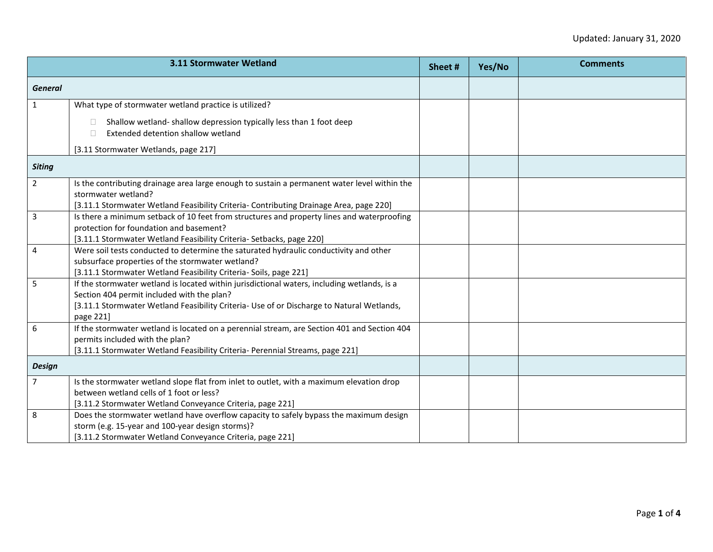|                | 3.11 Stormwater Wetland                                                                                                                                                                                                                             | Sheet # | Yes/No | <b>Comments</b> |
|----------------|-----------------------------------------------------------------------------------------------------------------------------------------------------------------------------------------------------------------------------------------------------|---------|--------|-----------------|
| <b>General</b> |                                                                                                                                                                                                                                                     |         |        |                 |
| $\mathbf{1}$   | What type of stormwater wetland practice is utilized?                                                                                                                                                                                               |         |        |                 |
|                | Shallow wetland-shallow depression typically less than 1 foot deep<br>Extended detention shallow wetland<br>П.                                                                                                                                      |         |        |                 |
|                | [3.11 Stormwater Wetlands, page 217]                                                                                                                                                                                                                |         |        |                 |
| <b>Siting</b>  |                                                                                                                                                                                                                                                     |         |        |                 |
| 2 <sup>1</sup> | Is the contributing drainage area large enough to sustain a permanent water level within the<br>stormwater wetland?<br>[3.11.1 Stormwater Wetland Feasibility Criteria- Contributing Drainage Area, page 220]                                       |         |        |                 |
| 3              | Is there a minimum setback of 10 feet from structures and property lines and waterproofing<br>protection for foundation and basement?<br>[3.11.1 Stormwater Wetland Feasibility Criteria- Setbacks, page 220]                                       |         |        |                 |
| 4              | Were soil tests conducted to determine the saturated hydraulic conductivity and other<br>subsurface properties of the stormwater wetland?<br>[3.11.1 Stormwater Wetland Feasibility Criteria- Soils, page 221]                                      |         |        |                 |
| 5              | If the stormwater wetland is located within jurisdictional waters, including wetlands, is a<br>Section 404 permit included with the plan?<br>[3.11.1 Stormwater Wetland Feasibility Criteria- Use of or Discharge to Natural Wetlands,<br>page 221] |         |        |                 |
| 6              | If the stormwater wetland is located on a perennial stream, are Section 401 and Section 404<br>permits included with the plan?<br>[3.11.1 Stormwater Wetland Feasibility Criteria- Perennial Streams, page 221]                                     |         |        |                 |
| <b>Design</b>  |                                                                                                                                                                                                                                                     |         |        |                 |
| $\overline{7}$ | Is the stormwater wetland slope flat from inlet to outlet, with a maximum elevation drop<br>between wetland cells of 1 foot or less?<br>[3.11.2 Stormwater Wetland Conveyance Criteria, page 221]                                                   |         |        |                 |
| 8              | Does the stormwater wetland have overflow capacity to safely bypass the maximum design<br>storm (e.g. 15-year and 100-year design storms)?<br>[3.11.2 Stormwater Wetland Conveyance Criteria, page 221]                                             |         |        |                 |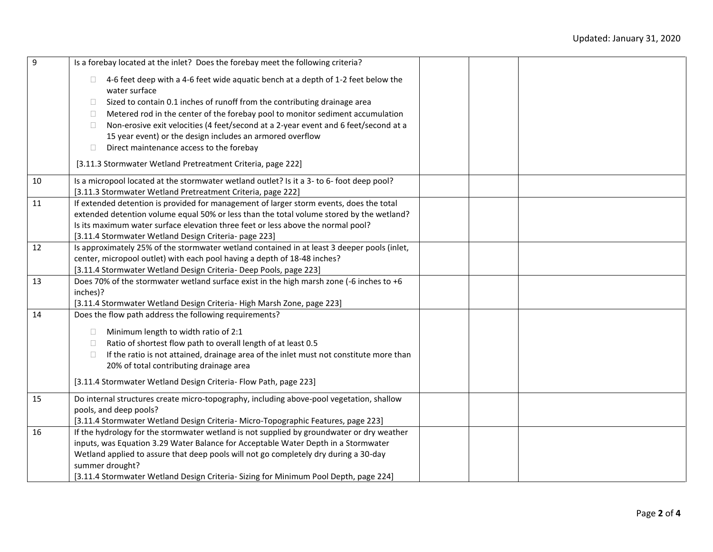| $\overline{9}$ | Is a forebay located at the inlet? Does the forebay meet the following criteria?                                                              |  |  |
|----------------|-----------------------------------------------------------------------------------------------------------------------------------------------|--|--|
|                | 4-6 feet deep with a 4-6 feet wide aquatic bench at a depth of 1-2 feet below the                                                             |  |  |
|                | water surface                                                                                                                                 |  |  |
|                | Sized to contain 0.1 inches of runoff from the contributing drainage area<br>$\Box$                                                           |  |  |
|                | Metered rod in the center of the forebay pool to monitor sediment accumulation<br>$\Box$                                                      |  |  |
|                | Non-erosive exit velocities (4 feet/second at a 2-year event and 6 feet/second at a<br>$\Box$                                                 |  |  |
|                | 15 year event) or the design includes an armored overflow                                                                                     |  |  |
|                | Direct maintenance access to the forebay<br>$\Box$                                                                                            |  |  |
|                | [3.11.3 Stormwater Wetland Pretreatment Criteria, page 222]                                                                                   |  |  |
| 10             | Is a micropool located at the stormwater wetland outlet? Is it a 3- to 6- foot deep pool?                                                     |  |  |
|                | [3.11.3 Stormwater Wetland Pretreatment Criteria, page 222]                                                                                   |  |  |
| 11             | If extended detention is provided for management of larger storm events, does the total                                                       |  |  |
|                | extended detention volume equal 50% or less than the total volume stored by the wetland?                                                      |  |  |
|                | Is its maximum water surface elevation three feet or less above the normal pool?                                                              |  |  |
|                | [3.11.4 Stormwater Wetland Design Criteria- page 223]                                                                                         |  |  |
| 12             | Is approximately 25% of the stormwater wetland contained in at least 3 deeper pools (inlet,                                                   |  |  |
|                | center, micropool outlet) with each pool having a depth of 18-48 inches?<br>[3.11.4 Stormwater Wetland Design Criteria- Deep Pools, page 223] |  |  |
| 13             | Does 70% of the stormwater wetland surface exist in the high marsh zone (-6 inches to +6                                                      |  |  |
|                | inches)?                                                                                                                                      |  |  |
|                | [3.11.4 Stormwater Wetland Design Criteria-High Marsh Zone, page 223]                                                                         |  |  |
| 14             | Does the flow path address the following requirements?                                                                                        |  |  |
|                |                                                                                                                                               |  |  |
|                | Minimum length to width ratio of 2:1<br>$\Box$                                                                                                |  |  |
|                | Ratio of shortest flow path to overall length of at least 0.5<br>$\Box$                                                                       |  |  |
|                | If the ratio is not attained, drainage area of the inlet must not constitute more than<br>$\Box$                                              |  |  |
|                | 20% of total contributing drainage area                                                                                                       |  |  |
|                | [3.11.4 Stormwater Wetland Design Criteria- Flow Path, page 223]                                                                              |  |  |
| 15             | Do internal structures create micro-topography, including above-pool vegetation, shallow                                                      |  |  |
|                | pools, and deep pools?                                                                                                                        |  |  |
|                | [3.11.4 Stormwater Wetland Design Criteria- Micro-Topographic Features, page 223]                                                             |  |  |
| 16             | If the hydrology for the stormwater wetland is not supplied by groundwater or dry weather                                                     |  |  |
|                | inputs, was Equation 3.29 Water Balance for Acceptable Water Depth in a Stormwater                                                            |  |  |
|                | Wetland applied to assure that deep pools will not go completely dry during a 30-day                                                          |  |  |
|                | summer drought?                                                                                                                               |  |  |
|                | [3.11.4 Stormwater Wetland Design Criteria- Sizing for Minimum Pool Depth, page 224]                                                          |  |  |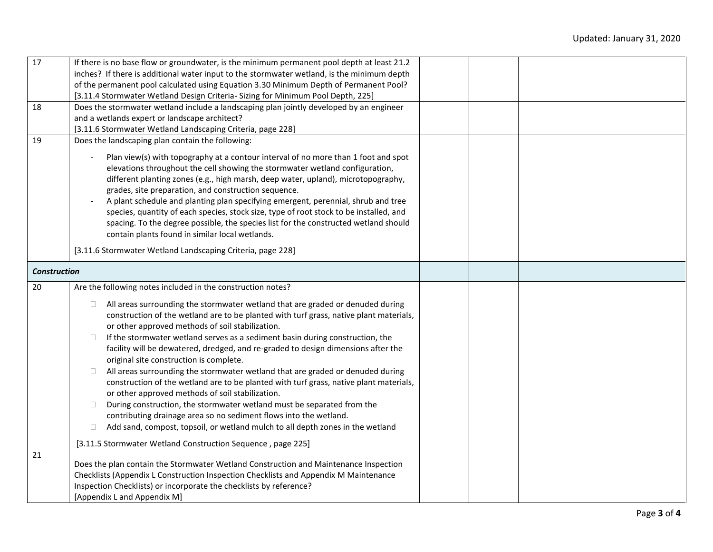| 17                  | If there is no base flow or groundwater, is the minimum permanent pool depth at least 21.2        |  |  |
|---------------------|---------------------------------------------------------------------------------------------------|--|--|
|                     | inches? If there is additional water input to the stormwater wetland, is the minimum depth        |  |  |
|                     | of the permanent pool calculated using Equation 3.30 Minimum Depth of Permanent Pool?             |  |  |
|                     | [3.11.4 Stormwater Wetland Design Criteria- Sizing for Minimum Pool Depth, 225]                   |  |  |
| 18                  | Does the stormwater wetland include a landscaping plan jointly developed by an engineer           |  |  |
|                     | and a wetlands expert or landscape architect?                                                     |  |  |
|                     | [3.11.6 Stormwater Wetland Landscaping Criteria, page 228]                                        |  |  |
| 19                  | Does the landscaping plan contain the following:                                                  |  |  |
|                     | Plan view(s) with topography at a contour interval of no more than 1 foot and spot                |  |  |
|                     | elevations throughout the cell showing the stormwater wetland configuration,                      |  |  |
|                     | different planting zones (e.g., high marsh, deep water, upland), microtopography,                 |  |  |
|                     | grades, site preparation, and construction sequence.                                              |  |  |
|                     | A plant schedule and planting plan specifying emergent, perennial, shrub and tree                 |  |  |
|                     | species, quantity of each species, stock size, type of root stock to be installed, and            |  |  |
|                     | spacing. To the degree possible, the species list for the constructed wetland should              |  |  |
|                     | contain plants found in similar local wetlands.                                                   |  |  |
|                     | [3.11.6 Stormwater Wetland Landscaping Criteria, page 228]                                        |  |  |
| <b>Construction</b> |                                                                                                   |  |  |
|                     |                                                                                                   |  |  |
| 20                  | Are the following notes included in the construction notes?                                       |  |  |
|                     | All areas surrounding the stormwater wetland that are graded or denuded during<br>$\Box$          |  |  |
|                     | construction of the wetland are to be planted with turf grass, native plant materials,            |  |  |
|                     | or other approved methods of soil stabilization.                                                  |  |  |
|                     | If the stormwater wetland serves as a sediment basin during construction, the<br>$\Box$           |  |  |
|                     | facility will be dewatered, dredged, and re-graded to design dimensions after the                 |  |  |
|                     | original site construction is complete.                                                           |  |  |
|                     | All areas surrounding the stormwater wetland that are graded or denuded during<br>$\Box$          |  |  |
|                     | construction of the wetland are to be planted with turf grass, native plant materials,            |  |  |
|                     | or other approved methods of soil stabilization.                                                  |  |  |
|                     | During construction, the stormwater wetland must be separated from the<br>$\Box$                  |  |  |
|                     | contributing drainage area so no sediment flows into the wetland.                                 |  |  |
|                     | Add sand, compost, topsoil, or wetland mulch to all depth zones in the wetland<br>$\Box$          |  |  |
|                     | [3.11.5 Stormwater Wetland Construction Sequence, page 225]                                       |  |  |
| 21                  |                                                                                                   |  |  |
|                     | Does the plan contain the Stormwater Wetland Construction and Maintenance Inspection              |  |  |
|                     | Checklists (Appendix L Construction Inspection Checklists and Appendix M Maintenance              |  |  |
|                     | Inspection Checklists) or incorporate the checklists by reference?<br>[Appendix L and Appendix M] |  |  |